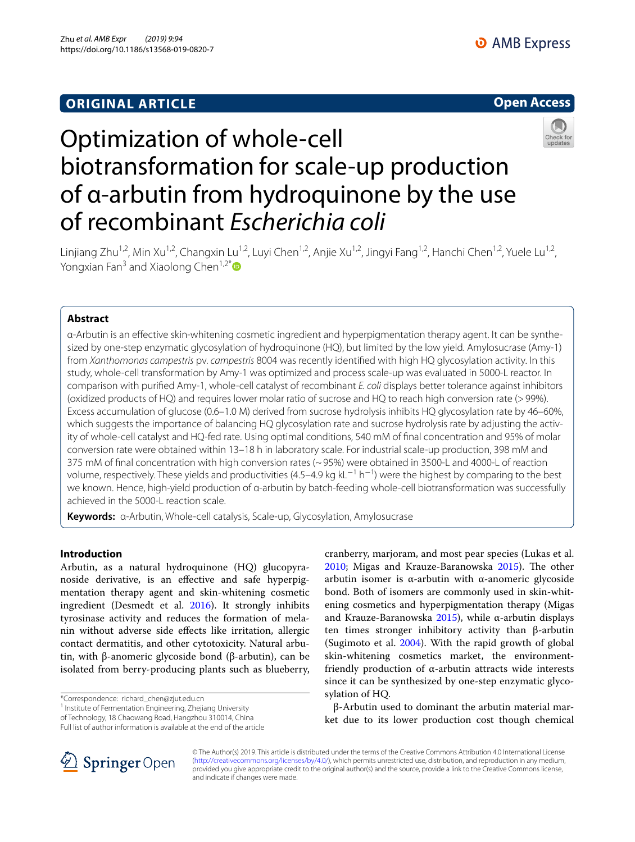## **ORIGINAL ARTICLE**

## **Open Access**



# Optimization of whole-cell biotransformation for scale-up production of α-arbutin from hydroquinone by the use of recombinant *Escherichia coli*

Linjiang Zhu<sup>1,2</sup>, Min Xu<sup>1,2</sup>, Changxin Lu<sup>1,2</sup>, Luyi Chen<sup>1,2</sup>, Anjie Xu<sup>1,2</sup>, Jingyi Fang<sup>1,2</sup>, Hanchi Chen<sup>1,2</sup>, Yuele Lu<sup>1,2</sup>, Yongxian Fan<sup>3</sup> and Xiaolong Chen<sup>1,2[\\*](http://orcid.org/0000-0003-3869-352X)</sup>

## **Abstract**

α-Arbutin is an efective skin-whitening cosmetic ingredient and hyperpigmentation therapy agent. It can be synthesized by one-step enzymatic glycosylation of hydroquinone (HQ), but limited by the low yield. Amylosucrase (Amy-1) from *Xanthomonas campestris* pv. *campestris* 8004 was recently identifed with high HQ glycosylation activity. In this study, whole-cell transformation by Amy-1 was optimized and process scale-up was evaluated in 5000-L reactor. In comparison with purifed Amy-1, whole-cell catalyst of recombinant *E. coli* displays better tolerance against inhibitors (oxidized products of HQ) and requires lower molar ratio of sucrose and HQ to reach high conversion rate (>99%). Excess accumulation of glucose (0.6–1.0 M) derived from sucrose hydrolysis inhibits HQ glycosylation rate by 46–60%, which suggests the importance of balancing HQ glycosylation rate and sucrose hydrolysis rate by adjusting the activity of whole-cell catalyst and HQ-fed rate. Using optimal conditions, 540 mM of fnal concentration and 95% of molar conversion rate were obtained within 13–18 h in laboratory scale. For industrial scale-up production, 398 mM and 375 mM of fnal concentration with high conversion rates (~95%) were obtained in 3500-L and 4000-L of reaction volume, respectively. These yields and productivities (4.5–4.9 kg kL<sup>−1</sup> h<sup>−1</sup>) were the highest by comparing to the best we known. Hence, high-yield production of α-arbutin by batch-feeding whole-cell biotransformation was successfully achieved in the 5000-L reaction scale.

**Keywords:** α-Arbutin, Whole-cell catalysis, Scale-up, Glycosylation, Amylosucrase

## **Introduction**

Arbutin, as a natural hydroquinone (HQ) glucopyranoside derivative, is an efective and safe hyperpigmentation therapy agent and skin-whitening cosmetic ingredient (Desmedt et al. [2016\)](#page-8-0). It strongly inhibits tyrosinase activity and reduces the formation of melanin without adverse side efects like irritation, allergic contact dermatitis, and other cytotoxicity. Natural arbutin, with β-anomeric glycoside bond (β-arbutin), can be isolated from berry-producing plants such as blueberry,

\*Correspondence: richard\_chen@zjut.edu.cn

<sup>1</sup> Institute of Fermentation Engineering, Zhejiang University

of Technology, 18 Chaowang Road, Hangzhou 310014, China Full list of author information is available at the end of the article cranberry, marjoram, and most pear species (Lukas et al. [2010](#page-8-1); Migas and Krauze-Baranowska [2015\)](#page-8-2). The other arbutin isomer is  $α$ -arbutin with  $α$ -anomeric glycoside bond. Both of isomers are commonly used in skin-whitening cosmetics and hyperpigmentation therapy (Migas and Krauze-Baranowska  $2015$ ), while α-arbutin displays ten times stronger inhibitory activity than β-arbutin (Sugimoto et al. [2004\)](#page-8-3). With the rapid growth of global skin-whitening cosmetics market, the environmentfriendly production of α-arbutin attracts wide interests since it can be synthesized by one-step enzymatic glycosylation of HQ.

β-Arbutin used to dominant the arbutin material market due to its lower production cost though chemical



© The Author(s) 2019. This article is distributed under the terms of the Creative Commons Attribution 4.0 International License [\(http://creativecommons.org/licenses/by/4.0/\)](http://creativecommons.org/licenses/by/4.0/), which permits unrestricted use, distribution, and reproduction in any medium, provided you give appropriate credit to the original author(s) and the source, provide a link to the Creative Commons license, and indicate if changes were made.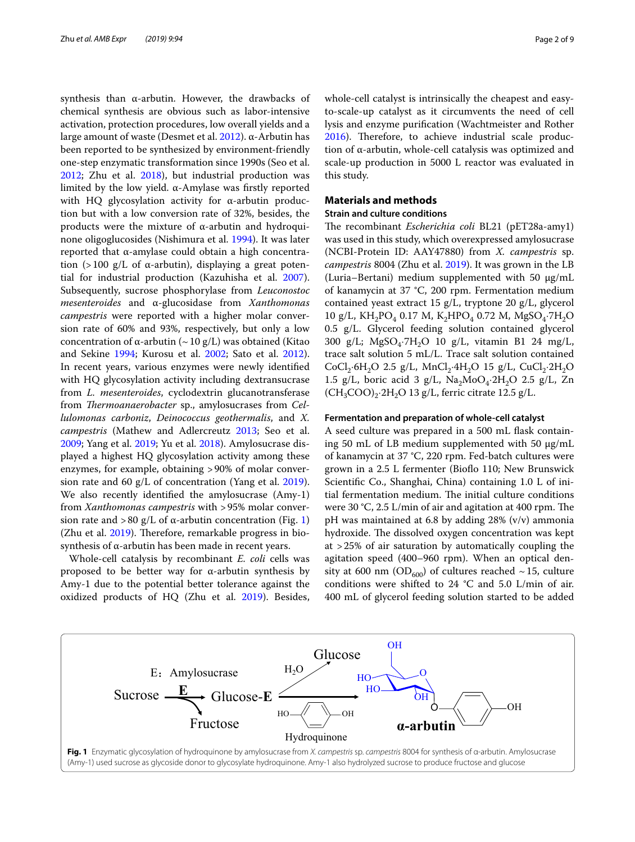synthesis than α-arbutin. However, the drawbacks of chemical synthesis are obvious such as labor-intensive activation, protection procedures, low overall yields and a large amount of waste (Desmet et al. [2012\)](#page-8-4). α-Arbutin has been reported to be synthesized by environment-friendly one-step enzymatic transformation since 1990s (Seo et al. [2012](#page-8-5); Zhu et al. [2018\)](#page-8-6), but industrial production was limited by the low yield. α-Amylase was frstly reported with HQ glycosylation activity for α-arbutin production but with a low conversion rate of 32%, besides, the products were the mixture of α-arbutin and hydroquinone oligoglucosides (Nishimura et al. [1994\)](#page-8-7). It was later reported that α-amylase could obtain a high concentration (>100  $g/L$  of  $\alpha$ -arbutin), displaying a great potential for industrial production (Kazuhisha et al. [2007](#page-8-8)). Subsequently, sucrose phosphorylase from *Leuconostoc mesenteroides* and α-glucosidase from *Xanthomonas campestris* were reported with a higher molar conversion rate of 60% and 93%, respectively, but only a low concentration of α-arbutin ( $\sim$  10 g/L) was obtained (Kitao and Sekine [1994;](#page-8-9) Kurosu et al. [2002;](#page-8-10) Sato et al. [2012](#page-8-11)). In recent years, various enzymes were newly identifed with HQ glycosylation activity including dextransucrase from *L. mesenteroides*, cyclodextrin glucanotransferase from *Thermoanaerobacter* sp., amylosucrases from *Cellulomonas carboniz*, *Deinococcus geothermalis*, and *X. campestris* (Mathew and Adlercreutz [2013](#page-8-12); Seo et al. [2009](#page-8-13); Yang et al. [2019](#page-8-14); Yu et al. [2018\)](#page-8-15). Amylosucrase displayed a highest HQ glycosylation activity among these enzymes, for example, obtaining >90% of molar conversion rate and 60 g/L of concentration (Yang et al. [2019](#page-8-14)). We also recently identifed the amylosucrase (Amy-1) from *Xanthomonas campestris* with >95% molar conver-sion rate and >80 g/L of α-arbutin concentration (Fig. [1](#page-1-0)) (Zhu et al.  $2019$ ). Therefore, remarkable progress in biosynthesis of α-arbutin has been made in recent years.

Whole-cell catalysis by recombinant *E. coli* cells was proposed to be better way for α-arbutin synthesis by Amy-1 due to the potential better tolerance against the oxidized products of HQ (Zhu et al. [2019\)](#page-8-16). Besides,

whole-cell catalyst is intrinsically the cheapest and easyto-scale-up catalyst as it circumvents the need of cell lysis and enzyme purifcation (Wachtmeister and Rother [2016](#page-8-17)). Therefore, to achieve industrial scale production of α-arbutin, whole-cell catalysis was optimized and scale-up production in 5000 L reactor was evaluated in this study.

## **Materials and methods**

## **Strain and culture conditions**

The recombinant *Escherichia coli* BL21 (pET28a-amy1) was used in this study, which overexpressed amylosucrase (NCBI-Protein ID: AAY47880) from *X. campestris* sp. *campestris* 8004 (Zhu et al. [2019\)](#page-8-16). It was grown in the LB (Luria–Bertani) medium supplemented with 50 μg/mL of kanamycin at 37 °C, 200 rpm. Fermentation medium contained yeast extract 15 g/L, tryptone 20 g/L, glycerol 10 g/L, KH<sub>2</sub>PO<sub>4</sub> 0.17 M, K<sub>2</sub>HPO<sub>4</sub> 0.72 M, MgSO<sub>4</sub>·7H<sub>2</sub>O 0.5 g/L. Glycerol feeding solution contained glycerol 300  $g/L$ ; MgSO<sub>4</sub>·7H<sub>2</sub>O 10  $g/L$ , vitamin B1 24 mg/L, trace salt solution 5 mL/L. Trace salt solution contained  $CoCl<sub>2</sub>·6H<sub>2</sub>O$  2.5 g/L, MnCl<sub>2</sub> $\cdot$ 4H<sub>2</sub>O 15 g/L, CuCl<sub>2</sub> $\cdot$ 2H<sub>2</sub>O 1.5 g/L, boric acid 3 g/L,  $\text{Na}_2\text{MoO}_4$ ·2H<sub>2</sub>O 2.5 g/L, Zn  $(CH_3COO)_2.2H_2O$  13 g/L, ferric citrate 12.5 g/L.

## **Fermentation and preparation of whole‑cell catalyst**

A seed culture was prepared in a 500 mL fask containing 50 mL of LB medium supplemented with 50 μg/mL of kanamycin at 37 °C, 220 rpm. Fed-batch cultures were grown in a 2.5 L fermenter (Biofo 110; New Brunswick Scientific Co., Shanghai, China) containing 1.0 L of initial fermentation medium. The initial culture conditions were 30 °C, 2.5 L/min of air and agitation at 400 rpm. The pH was maintained at 6.8 by adding 28% (v/v) ammonia hydroxide. The dissolved oxygen concentration was kept at >25% of air saturation by automatically coupling the agitation speed (400–960 rpm). When an optical density at 600 nm (OD<sub>600</sub>) of cultures reached  $\sim$  15, culture conditions were shifted to 24  $^{\circ}$ C and 5.0 L/min of air. 400 mL of glycerol feeding solution started to be added

<span id="page-1-0"></span>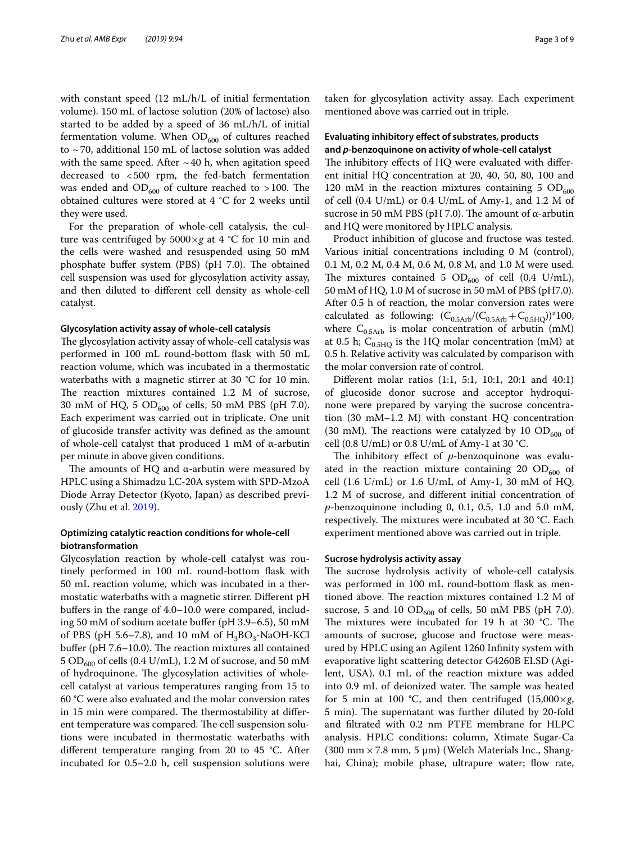with constant speed (12 mL/h/L of initial fermentation volume). 150 mL of lactose solution (20% of lactose) also started to be added by a speed of 36 mL/h/L of initial fermentation volume. When  $OD_{600}$  of cultures reached to ~70, additional 150 mL of lactose solution was added with the same speed. After  $\sim$  40 h, when agitation speed decreased to <500 rpm, the fed-batch fermentation was ended and  $OD_{600}$  of culture reached to >100. The obtained cultures were stored at 4 °C for 2 weeks until they were used.

For the preparation of whole-cell catalysis, the culture was centrifuged by 5000×*g* at 4 °C for 10 min and the cells were washed and resuspended using 50 mM phosphate buffer system (PBS) (pH 7.0). The obtained cell suspension was used for glycosylation activity assay, and then diluted to diferent cell density as whole-cell catalyst.

#### **Glycosylation activity assay of whole‑cell catalysis**

The glycosylation activity assay of whole-cell catalysis was performed in 100 mL round-bottom fask with 50 mL reaction volume, which was incubated in a thermostatic waterbaths with a magnetic stirrer at 30 °C for 10 min. The reaction mixtures contained  $1.2$  M of sucrose, 30 mM of HQ, 5  $OD_{600}$  of cells, 50 mM PBS (pH 7.0). Each experiment was carried out in triplicate. One unit of glucoside transfer activity was defned as the amount of whole-cell catalyst that produced 1 mM of α-arbutin per minute in above given conditions.

The amounts of HQ and  $\alpha$ -arbutin were measured by HPLC using a Shimadzu LC-20A system with SPD-MzoA Diode Array Detector (Kyoto, Japan) as described previously (Zhu et al. [2019](#page-8-16)).

## **Optimizing catalytic reaction conditions for whole‑cell biotransformation**

Glycosylation reaction by whole-cell catalyst was routinely performed in 100 mL round-bottom fask with 50 mL reaction volume, which was incubated in a thermostatic waterbaths with a magnetic stirrer. Diferent pH buffers in the range of 4.0–10.0 were compared, including 50 mM of sodium acetate bufer (pH 3.9–6.5), 50 mM of PBS (pH 5.6–7.8), and 10 mM of  $H_3BO_3-NaOH-KCl$ buffer ( $pH$  7.6–10.0). The reaction mixtures all contained  $5$   $\rm{OD}_{600}$  of cells (0.4 U/mL), 1.2 M of sucrose, and 50 mM of hydroquinone. The glycosylation activities of wholecell catalyst at various temperatures ranging from 15 to 60 °C were also evaluated and the molar conversion rates in 15 min were compared. The thermostability at different temperature was compared. The cell suspension solutions were incubated in thermostatic waterbaths with diferent temperature ranging from 20 to 45 °C. After incubated for 0.5–2.0 h, cell suspension solutions were taken for glycosylation activity assay. Each experiment mentioned above was carried out in triple.

## **Evaluating inhibitory efect of substrates, products and** *p***‑benzoquinone on activity of whole‑cell catalyst**

The inhibitory effects of HQ were evaluated with different initial HQ concentration at 20, 40, 50, 80, 100 and 120 mM in the reaction mixtures containing 5  $OD<sub>600</sub>$ of cell (0.4 U/mL) or 0.4 U/mL of Amy-1, and 1.2 M of sucrose in 50 mM PBS (pH 7.0). The amount of α-arbutin and HQ were monitored by HPLC analysis.

Product inhibition of glucose and fructose was tested. Various initial concentrations including 0 M (control), 0.1 M, 0.2 M, 0.4 M, 0.6 M, 0.8 M, and 1.0 M were used. The mixtures contained 5  $OD_{600}$  of cell (0.4 U/mL), 50 mM of HQ, 1.0 M of sucrose in 50 mM of PBS (pH7.0). After 0.5 h of reaction, the molar conversion rates were calculated as following:  $(C_{0.5Arb}/(C_{0.5Arb}+C_{0.5HQ}))$ \*100, where  $C_{0.5Arb}$  is molar concentration of arbutin (mM) at 0.5 h;  $C_{0.5HO}$  is the HQ molar concentration (mM) at 0.5 h. Relative activity was calculated by comparison with the molar conversion rate of control.

Diferent molar ratios (1:1, 5:1, 10:1, 20:1 and 40:1) of glucoside donor sucrose and acceptor hydroquinone were prepared by varying the sucrose concentration (30 mM–1.2 M) with constant HQ concentration (30 mM). The reactions were catalyzed by 10  $OD<sub>600</sub>$  of cell (0.8 U/mL) or 0.8 U/mL of Amy-1 at 30 °C.

The inhibitory effect of *p*-benzoquinone was evaluated in the reaction mixture containing 20  $OD<sub>600</sub>$  of cell  $(1.6 \text{ U/mL})$  or  $1.6 \text{ U/mL}$  of Amy-1, 30 mM of HQ, 1.2 M of sucrose, and diferent initial concentration of *p*-benzoquinone including 0, 0.1, 0.5, 1.0 and 5.0 mM, respectively. The mixtures were incubated at 30 °C. Each experiment mentioned above was carried out in triple.

## **Sucrose hydrolysis activity assay**

The sucrose hydrolysis activity of whole-cell catalysis was performed in 100 mL round-bottom fask as mentioned above. The reaction mixtures contained 1.2 M of sucrose, 5 and 10  $OD<sub>600</sub>$  of cells, 50 mM PBS (pH 7.0). The mixtures were incubated for 19 h at 30  $^{\circ}$ C. The amounts of sucrose, glucose and fructose were measured by HPLC using an Agilent 1260 Infnity system with evaporative light scattering detector G4260B ELSD (Agilent, USA). 0.1 mL of the reaction mixture was added into 0.9 mL of deionized water. The sample was heated for 5 min at 100 °C, and then centrifuged  $(15,000\times g,$ 5 min). The supernatant was further diluted by 20-fold and fltrated with 0.2 nm PTFE membrane for HLPC analysis. HPLC conditions: column, Xtimate Sugar-Ca (300 mm  $\times$  7.8 mm, 5 µm) (Welch Materials Inc., Shanghai, China); mobile phase, ultrapure water; flow rate,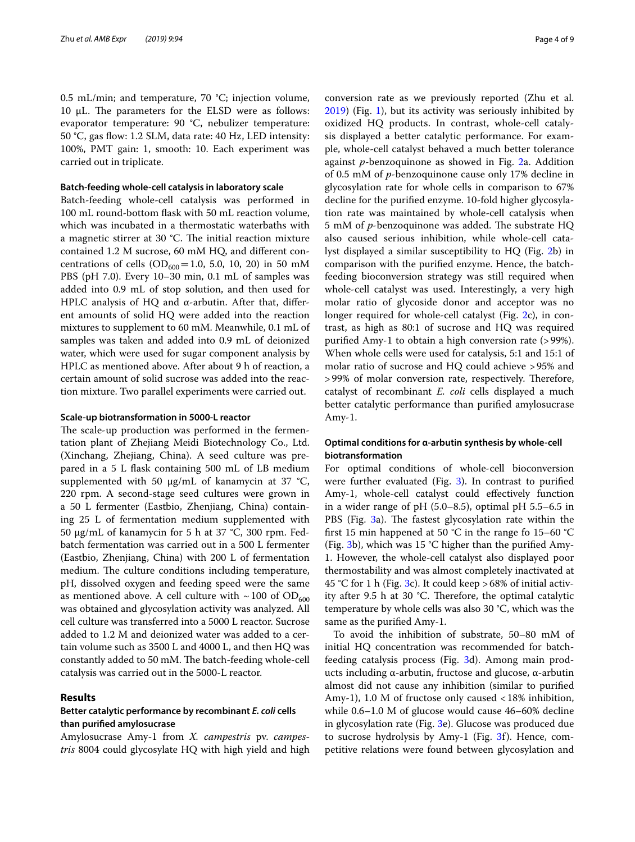0.5 mL/min; and temperature, 70 °C; injection volume, 10 μL. The parameters for the ELSD were as follows: evaporator temperature: 90 °C, nebulizer temperature: 50 °C, gas fow: 1.2 SLM, data rate: 40 Hz, LED intensity: 100%, PMT gain: 1, smooth: 10. Each experiment was carried out in triplicate.

#### **Batch‑feeding whole‑cell catalysis in laboratory scale**

Batch-feeding whole-cell catalysis was performed in 100 mL round-bottom fask with 50 mL reaction volume, which was incubated in a thermostatic waterbaths with a magnetic stirrer at  $30$  °C. The initial reaction mixture contained 1.2 M sucrose, 60 mM HQ, and diferent concentrations of cells  $OD_{600} = 1.0, 5.0, 10, 20$  in 50 mM PBS (pH 7.0). Every 10–30 min, 0.1 mL of samples was added into 0.9 mL of stop solution, and then used for HPLC analysis of HQ and α-arbutin. After that, diferent amounts of solid HQ were added into the reaction mixtures to supplement to 60 mM. Meanwhile, 0.1 mL of samples was taken and added into 0.9 mL of deionized water, which were used for sugar component analysis by HPLC as mentioned above. After about 9 h of reaction, a certain amount of solid sucrose was added into the reaction mixture. Two parallel experiments were carried out.

## **Scale‑up biotransformation in 5000‑L reactor**

The scale-up production was performed in the fermentation plant of Zhejiang Meidi Biotechnology Co., Ltd. (Xinchang, Zhejiang, China). A seed culture was prepared in a 5 L fask containing 500 mL of LB medium supplemented with 50 μg/mL of kanamycin at 37 °C, 220 rpm. A second-stage seed cultures were grown in a 50 L fermenter (Eastbio, Zhenjiang, China) containing 25 L of fermentation medium supplemented with 50 μg/mL of kanamycin for 5 h at 37 °C, 300 rpm. Fedbatch fermentation was carried out in a 500 L fermenter (Eastbio, Zhenjiang, China) with 200 L of fermentation medium. The culture conditions including temperature, pH, dissolved oxygen and feeding speed were the same as mentioned above. A cell culture with  $\sim$  100 of OD<sub>600</sub> was obtained and glycosylation activity was analyzed. All cell culture was transferred into a 5000 L reactor. Sucrose added to 1.2 M and deionized water was added to a certain volume such as 3500 L and 4000 L, and then HQ was constantly added to 50 mM. The batch-feeding whole-cell catalysis was carried out in the 5000-L reactor.

## **Results**

## **Better catalytic performance by recombinant** *E. coli* **cells than purifed amylosucrase**

Amylosucrase Amy-1 from *X. campestris* pv. *campestris* 8004 could glycosylate HQ with high yield and high conversion rate as we previously reported (Zhu et al. [2019](#page-8-16)) (Fig. [1](#page-1-0)), but its activity was seriously inhibited by oxidized HQ products. In contrast, whole-cell catalysis displayed a better catalytic performance. For example, whole-cell catalyst behaved a much better tolerance against *p*-benzoquinone as showed in Fig. [2](#page-4-0)a. Addition of 0.5 mM of *p*-benzoquinone cause only 17% decline in glycosylation rate for whole cells in comparison to 67% decline for the purifed enzyme. 10-fold higher glycosylation rate was maintained by whole-cell catalysis when 5 mM of *p*-benzoquinone was added. The substrate HQ also caused serious inhibition, while whole-cell catalyst displayed a similar susceptibility to HQ (Fig. [2b](#page-4-0)) in comparison with the purifed enzyme. Hence, the batchfeeding bioconversion strategy was still required when whole-cell catalyst was used. Interestingly, a very high molar ratio of glycoside donor and acceptor was no longer required for whole-cell catalyst (Fig. [2](#page-4-0)c), in contrast, as high as 80:1 of sucrose and HQ was required purifed Amy-1 to obtain a high conversion rate (>99%). When whole cells were used for catalysis, 5:1 and 15:1 of molar ratio of sucrose and HQ could achieve >95% and >99% of molar conversion rate, respectively. Therefore, catalyst of recombinant *E. coli* cells displayed a much better catalytic performance than purifed amylosucrase Amy-1.

## **Optimal conditions for α‑arbutin synthesis by whole‑cell biotransformation**

For optimal conditions of whole-cell bioconversion were further evaluated (Fig. [3\)](#page-5-0). In contrast to purifed Amy-1, whole-cell catalyst could effectively function in a wider range of pH (5.0–8.5), optimal pH 5.5–6.5 in PBS (Fig. [3a](#page-5-0)). The fastest glycosylation rate within the frst 15 min happened at 50 °C in the range fo 15–60 °C (Fig. [3](#page-5-0)b), which was 15 °C higher than the purifed Amy-1. However, the whole-cell catalyst also displayed poor thermostability and was almost completely inactivated at 45 °C for 1 h (Fig. [3c](#page-5-0)). It could keep >68% of initial activity after 9.5 h at 30  $^{\circ}$ C. Therefore, the optimal catalytic temperature by whole cells was also 30 °C, which was the same as the purifed Amy-1.

To avoid the inhibition of substrate, 50–80 mM of initial HQ concentration was recommended for batchfeeding catalysis process (Fig. [3](#page-5-0)d). Among main products including α-arbutin, fructose and glucose, α-arbutin almost did not cause any inhibition (similar to purifed Amy-1), 1.0 M of fructose only caused <18% inhibition, while 0.6–1.0 M of glucose would cause 46–60% decline in glycosylation rate (Fig. [3](#page-5-0)e). Glucose was produced due to sucrose hydrolysis by Amy-1 (Fig. [3](#page-5-0)f). Hence, competitive relations were found between glycosylation and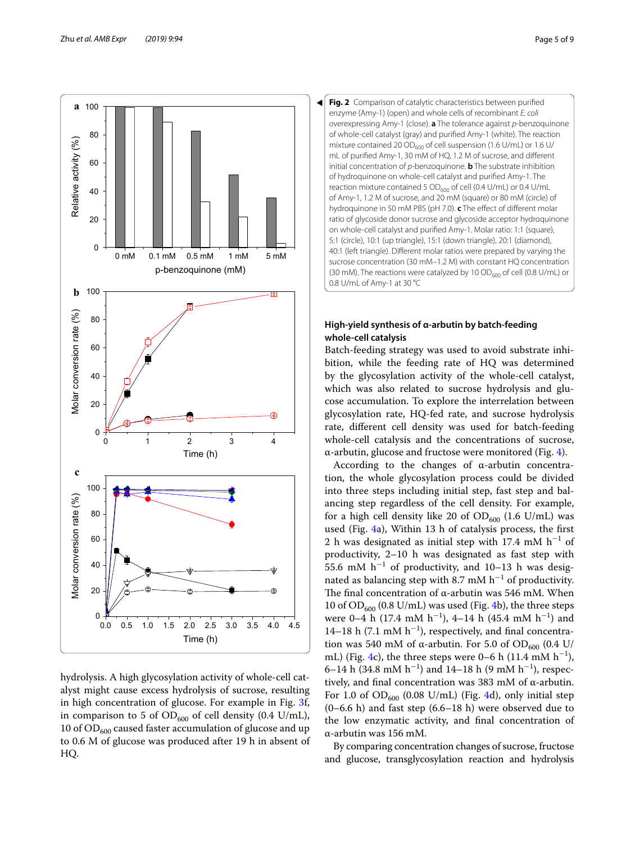

hydrolysis. A high glycosylation activity of whole-cell catalyst might cause excess hydrolysis of sucrose, resulting in high concentration of glucose. For example in Fig. [3](#page-5-0)f, in comparison to 5 of  $OD_{600}$  of cell density (0.4 U/mL), 10 of  $OD_{600}$  caused faster accumulation of glucose and up to 0.6 M of glucose was produced after 19 h in absent of HQ.

<span id="page-4-0"></span>

## **High‑yield synthesis of α‑arbutin by batch‑feeding whole‑cell catalysis**

Batch-feeding strategy was used to avoid substrate inhibition, while the feeding rate of HQ was determined by the glycosylation activity of the whole-cell catalyst, which was also related to sucrose hydrolysis and glucose accumulation. To explore the interrelation between glycosylation rate, HQ-fed rate, and sucrose hydrolysis rate, diferent cell density was used for batch-feeding whole-cell catalysis and the concentrations of sucrose, α-arbutin, glucose and fructose were monitored (Fig. [4](#page-6-0)).

According to the changes of α-arbutin concentration, the whole glycosylation process could be divided into three steps including initial step, fast step and balancing step regardless of the cell density. For example, for a high cell density like 20 of  $OD_{600}$  (1.6 U/mL) was used (Fig. [4](#page-6-0)a), Within 13 h of catalysis process, the frst 2 h was designated as initial step with 17.4 mM  $h^{-1}$  of productivity, 2–10 h was designated as fast step with 55.6 mM  $h^{-1}$  of productivity, and 10–13 h was designated as balancing step with 8.7 mM  $h^{-1}$  of productivity. The final concentration of α-arbutin was 546 mM. When 10 of  $OD_{600}$  (0.8 U/mL) was used (Fig. [4](#page-6-0)b), the three steps were 0–4 h (17.4 mM  $h^{-1}$ ), 4–14 h (45.4 mM  $h^{-1}$ ) and 14–18 h (7.1 mM  $h^{-1}$ ), respectively, and final concentration was 540 mM of α-arbutin. For 5.0 of OD<sub>600</sub> (0.4 U/ mL) (Fig. [4](#page-6-0)c), the three steps were 0–6 h (11.4 mM  $h^{-1}$ ), 6–14 h (34.8 mM h<sup>-1</sup>) and 14–18 h (9 mM h<sup>-1</sup>), respectively, and fnal concentration was 383 mM of α-arbutin. For 1.0 of  $OD_{600}$  (0.08 U/mL) (Fig. [4](#page-6-0)d), only initial step (0–6.6 h) and fast step (6.6–18 h) were observed due to the low enzymatic activity, and fnal concentration of α-arbutin was 156 mM.

By comparing concentration changes of sucrose, fructose and glucose, transglycosylation reaction and hydrolysis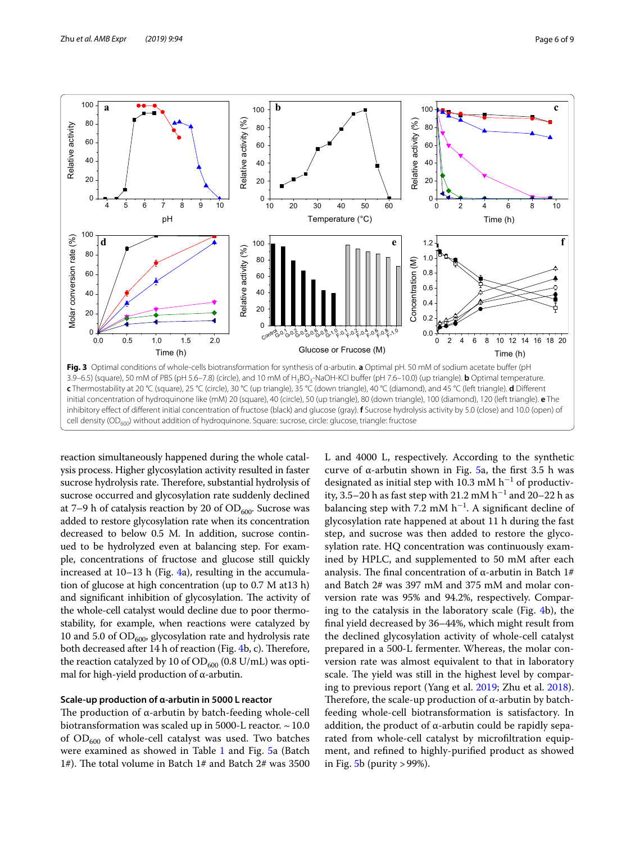

<span id="page-5-0"></span>reaction simultaneously happened during the whole catalysis process. Higher glycosylation activity resulted in faster sucrose hydrolysis rate. Therefore, substantial hydrolysis of sucrose occurred and glycosylation rate suddenly declined at 7–9 h of catalysis reaction by 20 of  $OD_{600}$ . Sucrose was added to restore glycosylation rate when its concentration decreased to below 0.5 M. In addition, sucrose continued to be hydrolyzed even at balancing step. For example, concentrations of fructose and glucose still quickly increased at 10–13 h (Fig. [4a](#page-6-0)), resulting in the accumulation of glucose at high concentration (up to 0.7 M at13 h) and significant inhibition of glycosylation. The activity of the whole-cell catalyst would decline due to poor thermostability, for example, when reactions were catalyzed by 10 and 5.0 of  $OD_{600}$ , glycosylation rate and hydrolysis rate both decreased after 14 h of reaction (Fig. [4b](#page-6-0), c). Therefore, the reaction catalyzed by 10 of  $OD_{600}$  (0.8 U/mL) was optimal for high-yield production of  $\alpha$ -arbutin.

### **Scale‑up production of α‑arbutin in 5000 L reactor**

The production of  $\alpha$ -arbutin by batch-feeding whole-cell biotransformation was scaled up in 5000-L reactor.  $\sim$  10.0 of  $OD_{600}$  of whole-cell catalyst was used. Two batches were examined as showed in Table [1](#page-6-1) and Fig. [5](#page-7-0)a (Batch 1#). The total volume in Batch 1# and Batch 2# was 3500 L and 4000 L, respectively. According to the synthetic curve of α-arbutin shown in Fig.  $5a$  $5a$ , the first 3.5 h was designated as initial step with 10.3 mM  $h^{-1}$  of productivity, 3.5–20 h as fast step with 21.2 mM  $h^{-1}$  and 20–22 h as balancing step with 7.2 mM  $h^{-1}$ . A significant decline of glycosylation rate happened at about 11 h during the fast step, and sucrose was then added to restore the glycosylation rate. HQ concentration was continuously examined by HPLC, and supplemented to 50 mM after each analysis. The final concentration of  $\alpha$ -arbutin in Batch 1# and Batch 2# was 397 mM and 375 mM and molar conversion rate was 95% and 94.2%, respectively. Comparing to the catalysis in the laboratory scale (Fig. [4](#page-6-0)b), the fnal yield decreased by 36–44%, which might result from the declined glycosylation activity of whole-cell catalyst prepared in a 500-L fermenter. Whereas, the molar conversion rate was almost equivalent to that in laboratory scale. The yield was still in the highest level by comparing to previous report (Yang et al. [2019](#page-8-14); Zhu et al. [2018](#page-8-6)). Therefore, the scale-up production of  $\alpha$ -arbutin by batchfeeding whole-cell biotransformation is satisfactory. In addition, the product of  $\alpha$ -arbutin could be rapidly separated from whole-cell catalyst by microfltration equipment, and refned to highly-purifed product as showed in Fig.  $5b$  (purity > 99%).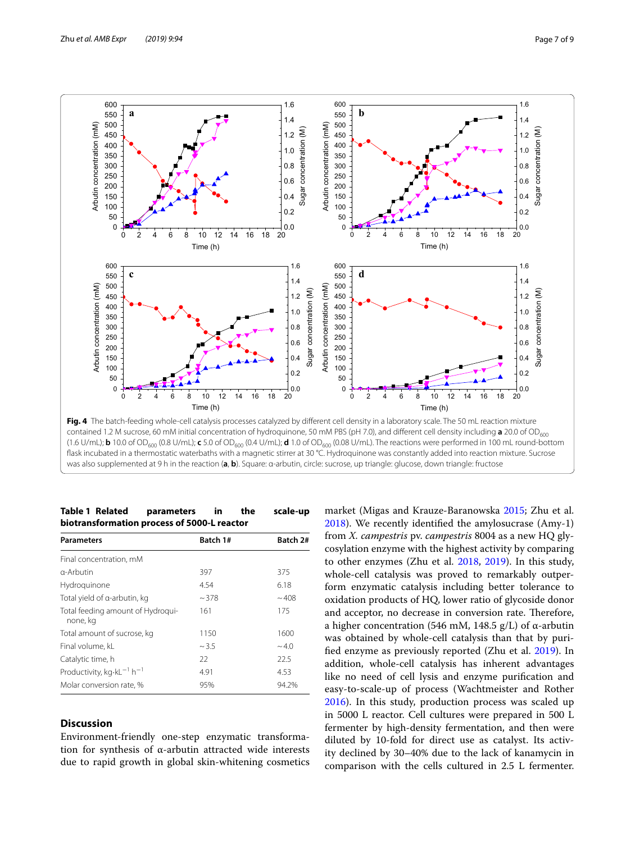

<span id="page-6-0"></span>was also supplemented at 9 h in the reaction (**a**, **b**). Square: α-arbutin, circle: sucrose, up triangle: glucose, down triangle: fructose

## <span id="page-6-1"></span>**Table 1 Related parameters in the scale-up biotransformation process of 5000-L reactor**

| <b>Parameters</b>                                         | Batch 1# | Batch 2#   |
|-----------------------------------------------------------|----------|------------|
| Final concentration, mM                                   |          |            |
| $\alpha$ -Arbutin                                         | 397      | 375        |
| Hydroquinone                                              | 4.54     | 6.18       |
| Total yield of a-arbutin, kg                              | ~1.378   | ~108       |
| Total feeding amount of Hydroqui-<br>none, ka             | 161      | 175        |
| Total amount of sucrose, kg                               | 1150     | 1600       |
| Final volume, kL                                          | ~1.5     | $~1$ – 4.0 |
| Catalytic time, h                                         | 22       | 22.5       |
| Productivity, kg $\cdot$ kL <sup>-1</sup> h <sup>-1</sup> | 4.91     | 4.53       |
| Molar conversion rate, %                                  | 95%      | 94.2%      |

## **Discussion**

Environment-friendly one-step enzymatic transformation for synthesis of α-arbutin attracted wide interests due to rapid growth in global skin-whitening cosmetics

market (Migas and Krauze-Baranowska [2015](#page-8-2); Zhu et al. [2018](#page-8-6)). We recently identifed the amylosucrase (Amy-1) from *X. campestris* pv. *campestris* 8004 as a new HQ glycosylation enzyme with the highest activity by comparing to other enzymes (Zhu et al. [2018](#page-8-6), [2019\)](#page-8-16). In this study, whole-cell catalysis was proved to remarkably outperform enzymatic catalysis including better tolerance to oxidation products of HQ, lower ratio of glycoside donor and acceptor, no decrease in conversion rate. Therefore, a higher concentration (546 mM, 148.5 g/L) of α-arbutin was obtained by whole-cell catalysis than that by purifed enzyme as previously reported (Zhu et al. [2019](#page-8-16)). In addition, whole-cell catalysis has inherent advantages like no need of cell lysis and enzyme purifcation and easy-to-scale-up of process (Wachtmeister and Rother [2016](#page-8-17)). In this study, production process was scaled up in 5000 L reactor. Cell cultures were prepared in 500 L fermenter by high-density fermentation, and then were diluted by 10-fold for direct use as catalyst. Its activity declined by 30–40% due to the lack of kanamycin in comparison with the cells cultured in 2.5 L fermenter.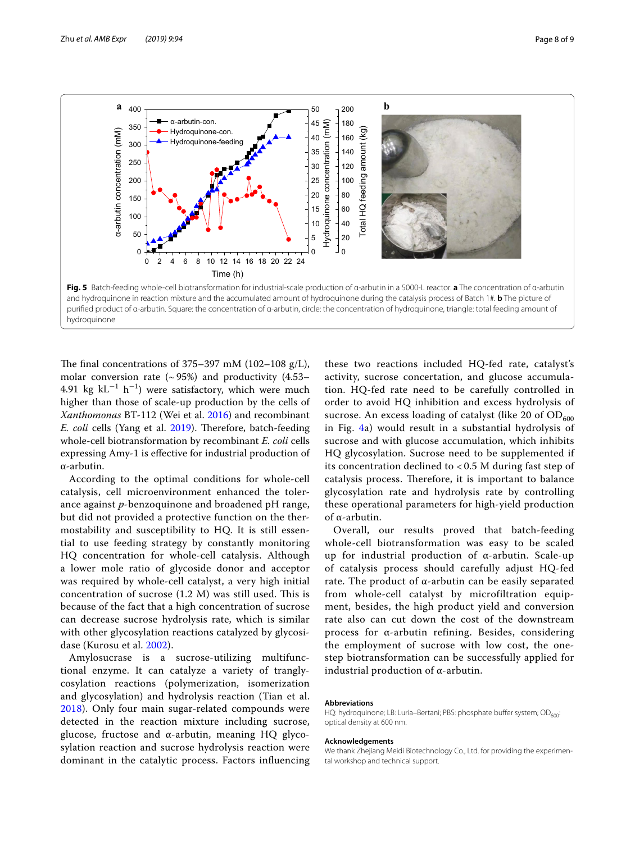

<span id="page-7-0"></span>The final concentrations of  $375-397$  mM ( $102-108$  g/L), molar conversion rate  $({\sim}95%)$  and productivity (4.53– 4.91 kg  $kL^{-1}$  h<sup>-1</sup>) were satisfactory, which were much higher than those of scale-up production by the cells of *Xanthomonas* BT-112 (Wei et al. [2016](#page-8-18)) and recombinant *E. coli* cells (Yang et al. [2019](#page-8-14)). Therefore, batch-feeding whole-cell biotransformation by recombinant *E. coli* cells expressing Amy-1 is efective for industrial production of α-arbutin.

According to the optimal conditions for whole-cell catalysis, cell microenvironment enhanced the tolerance against *p*-benzoquinone and broadened pH range, but did not provided a protective function on the thermostability and susceptibility to HQ. It is still essential to use feeding strategy by constantly monitoring HQ concentration for whole-cell catalysis. Although a lower mole ratio of glycoside donor and acceptor was required by whole-cell catalyst, a very high initial concentration of sucrose  $(1.2 \text{ M})$  was still used. This is because of the fact that a high concentration of sucrose can decrease sucrose hydrolysis rate, which is similar with other glycosylation reactions catalyzed by glycosidase (Kurosu et al. [2002](#page-8-10)).

Amylosucrase is a sucrose-utilizing multifunctional enzyme. It can catalyze a variety of tranglycosylation reactions (polymerization, isomerization and glycosylation) and hydrolysis reaction (Tian et al. [2018\)](#page-8-19). Only four main sugar-related compounds were detected in the reaction mixture including sucrose, glucose, fructose and α-arbutin, meaning HQ glycosylation reaction and sucrose hydrolysis reaction were dominant in the catalytic process. Factors infuencing

these two reactions included HQ-fed rate, catalyst's activity, sucrose concertation, and glucose accumulation. HQ-fed rate need to be carefully controlled in order to avoid HQ inhibition and excess hydrolysis of sucrose. An excess loading of catalyst (like 20 of  $OD<sub>600</sub>$ in Fig. [4a](#page-6-0)) would result in a substantial hydrolysis of sucrose and with glucose accumulation, which inhibits HQ glycosylation. Sucrose need to be supplemented if its concentration declined to < 0.5 M during fast step of catalysis process. Therefore, it is important to balance glycosylation rate and hydrolysis rate by controlling these operational parameters for high-yield production of α-arbutin.

Overall, our results proved that batch-feeding whole-cell biotransformation was easy to be scaled up for industrial production of α-arbutin. Scale-up of catalysis process should carefully adjust HQ-fed rate. The product of α-arbutin can be easily separated from whole-cell catalyst by microfiltration equipment, besides, the high product yield and conversion rate also can cut down the cost of the downstream process for α-arbutin refining. Besides, considering the employment of sucrose with low cost, the onestep biotransformation can be successfully applied for industrial production of α-arbutin.

## **Abbreviations**

HQ: hydroquinone; LB: Luria–Bertani; PBS: phosphate buffer system; OD600: optical density at 600 nm.

#### **Acknowledgements**

We thank Zhejiang Meidi Biotechnology Co., Ltd. for providing the experimental workshop and technical support.